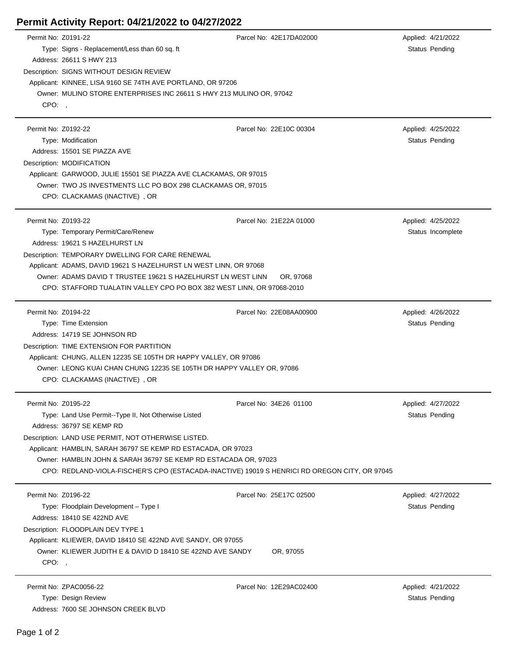## **Permit Activity Report: 04/21/2022 to 04/27/2022**

| Permit No: Z0191-22<br>CPO:, | Type: Signs - Replacement/Less than 60 sq. ft<br>Address: 26611 S HWY 213<br>Description: SIGNS WITHOUT DESIGN REVIEW<br>Applicant: KINNEE, LISA 9160 SE 74TH AVE PORTLAND, OR 97206<br>Owner: MULINO STORE ENTERPRISES INC 26611 S HWY 213 MULINO OR, 97042                                                                                                                  | Parcel No: 42E17DA02000              | Applied: 4/21/2022<br>Status Pending    |
|------------------------------|-------------------------------------------------------------------------------------------------------------------------------------------------------------------------------------------------------------------------------------------------------------------------------------------------------------------------------------------------------------------------------|--------------------------------------|-----------------------------------------|
| Permit No: Z0192-22          | Type: Modification<br>Address: 15501 SE PIAZZA AVE<br>Description: MODIFICATION<br>Applicant: GARWOOD, JULIE 15501 SE PIAZZA AVE CLACKAMAS, OR 97015<br>Owner: TWO JS INVESTMENTS LLC PO BOX 298 CLACKAMAS OR, 97015<br>CPO: CLACKAMAS (INACTIVE), OR                                                                                                                         | Parcel No: 22E10C 00304              | Applied: 4/25/2022<br>Status Pending    |
| Permit No: Z0193-22          | Type: Temporary Permit/Care/Renew<br>Address: 19621 S HAZELHURST LN<br>Description: TEMPORARY DWELLING FOR CARE RENEWAL<br>Applicant: ADAMS, DAVID 19621 S HAZELHURST LN WEST LINN, OR 97068<br>Owner: ADAMS DAVID T TRUSTEE 19621 S HAZELHURST LN WEST LINN<br>CPO: STAFFORD TUALATIN VALLEY CPO PO BOX 382 WEST LINN, OR 97068-2010                                         | Parcel No: 21E22A 01000<br>OR, 97068 | Applied: 4/25/2022<br>Status Incomplete |
| Permit No: Z0194-22          | Type: Time Extension<br>Address: 14719 SE JOHNSON RD<br>Description: TIME EXTENSION FOR PARTITION<br>Applicant: CHUNG, ALLEN 12235 SE 105TH DR HAPPY VALLEY, OR 97086<br>Owner: LEONG KUAI CHAN CHUNG 12235 SE 105TH DR HAPPY VALLEY OR, 97086<br>CPO: CLACKAMAS (INACTIVE), OR                                                                                               | Parcel No: 22E08AA00900              | Applied: 4/26/2022<br>Status Pending    |
| Permit No: Z0195-22          | Type: Land Use Permit--Type II, Not Otherwise Listed<br>Address: 36797 SE KEMP RD<br>Description: LAND USE PERMIT, NOT OTHERWISE LISTED.<br>Applicant: HAMBLIN, SARAH 36797 SE KEMP RD ESTACADA, OR 97023<br>Owner: HAMBLIN JOHN & SARAH 36797 SE KEMP RD ESTACADA OR, 97023<br>CPO: REDLAND-VIOLA-FISCHER'S CPO (ESTACADA-INACTIVE) 19019 S HENRICI RD OREGON CITY, OR 97045 | Parcel No: 34E26 01100               | Applied: 4/27/2022<br>Status Pending    |
| Permit No: Z0196-22<br>CPO:, | Type: Floodplain Development - Type I<br>Address: 18410 SE 422ND AVE<br>Description: FLOODPLAIN DEV TYPE 1<br>Applicant: KLIEWER, DAVID 18410 SE 422ND AVE SANDY, OR 97055<br>Owner: KLIEWER JUDITH E & DAVID D 18410 SE 422ND AVE SANDY                                                                                                                                      | Parcel No: 25E17C 02500<br>OR, 97055 | Applied: 4/27/2022<br>Status Pending    |
|                              | Permit No: ZPAC0056-22<br>Type: Design Review<br>Address: 7600 SE JOHNSON CREEK BLVD                                                                                                                                                                                                                                                                                          | Parcel No: 12E29AC02400              | Applied: 4/21/2022<br>Status Pending    |

 $\overline{a}$